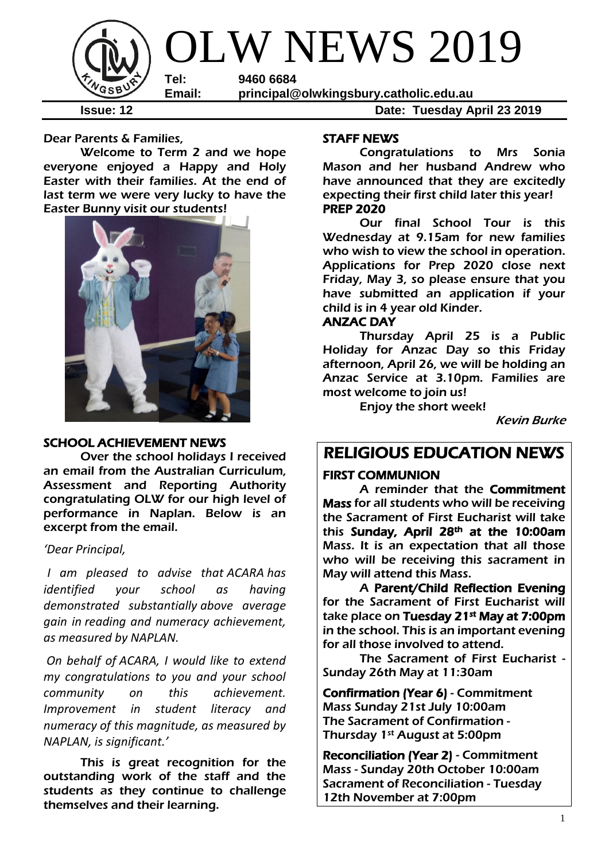

**Issue: 12 Date: Tuesday April 23 2019**

Dear Parents & Families,

Welcome to Term 2 and we hope everyone enjoyed a Happy and Holy Easter with their families. At the end of last term we were very lucky to have the Easter Bunny visit our students!



#### SCHOOL ACHIEVEMENT NEWS

 Over the school holidays I received an email from the Australian Curriculum, Assessment and Reporting Authority congratulating OLW for our high level of performance in Naplan. Below is an excerpt from the email.

*'Dear Principal,*

*I am pleased to advise that ACARA has identified your school as having demonstrated substantially above average gain in reading and numeracy achievement, as measured by NAPLAN.*

*On behalf of ACARA, I would like to extend my congratulations to you and your school community on this achievement. Improvement in student literacy and numeracy of this magnitude, as measured by NAPLAN, is significant.'*

This is great recognition for the outstanding work of the staff and the students as they continue to challenge themselves and their learning.

#### STAFF NEWS

Congratulations to Mrs Sonia Mason and her husband Andrew who have announced that they are excitedly expecting their first child later this year! PREP 2020

Our final School Tour is this Wednesday at 9.15am for new families who wish to view the school in operation. Applications for Prep 2020 close next Friday, May 3, so please ensure that you have submitted an application if your child is in 4 year old Kinder.

#### ANZAC DAY

Thursday April 25 is a Public Holiday for Anzac Day so this Friday afternoon, April 26, we will be holding an Anzac Service at 3.10pm. Families are most welcome to join us!

Enjoy the short week!

Kevin Burke

## RELIGIOUS EDUCATION NEWS

#### FIRST COMMUNION

A reminder that the Commitment Mass for all students who will be receiving the Sacrament of First Eucharist will take this Sunday, April 28<sup>th</sup> at the 10:00am Mass. It is an expectation that all those who will be receiving this sacrament in May will attend this Mass.

A Parent/Child Reflection Evening for the Sacrament of First Eucharist will take place on **Tuesday 21<sup>st</sup> May at 7:00pm** in the school. This is an important evening for all those involved to attend.

The Sacrament of First Eucharist - Sunday 26th May at 11:30am

Confirmation (Year 6) - Commitment Mass Sunday 21st July 10:00am The Sacrament of Confirmation - Thursday 1st August at 5:00pm

Reconciliation (Year 2) - Commitment Mass - Sunday 20th October 10:00am Sacrament of Reconciliation - Tuesday 12th November at 7:00pm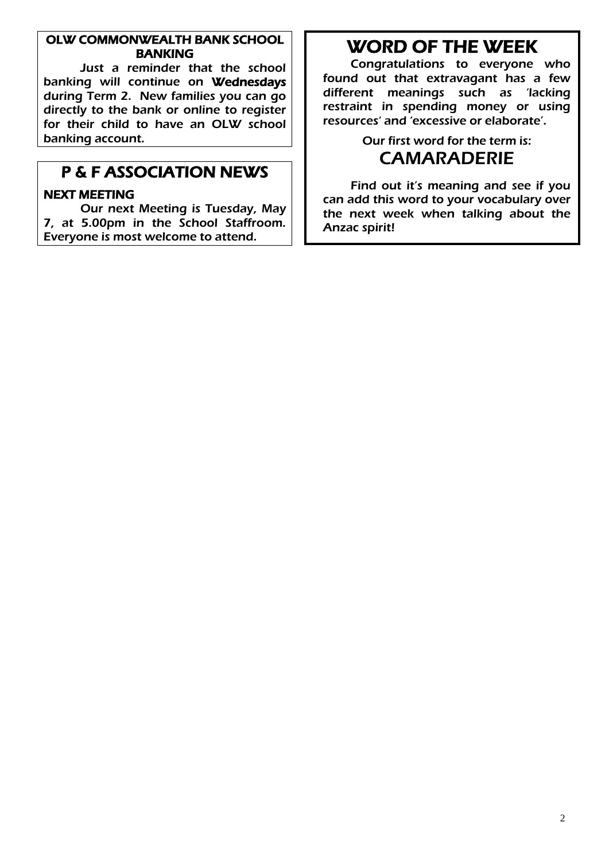#### OLW COMMONWEALTH BANK SCHOOL BANKING

Just a reminder that the school banking will continue on Wednesdays during Term 2. New families you can go directly to the bank or online to register for their child to have an OLW school banking account.

## P & F ASSOCIATION NEWS

#### NEXT MEETING

Our next Meeting is Tuesday, May 7, at 5.00pm in the School Staffroom. Everyone is most welcome to attend.

# WORD OF THE WEEK

Congratulations to everyone who found out that extravagant has a few different meanings such as 'lacking restraint in spending money or using resources' and 'excessive or elaborate'.

## Our first word for the term is: CAMARADERIE

Find out it's meaning and see if you can add this word to your vocabulary over the next week when talking about the Anzac spirit!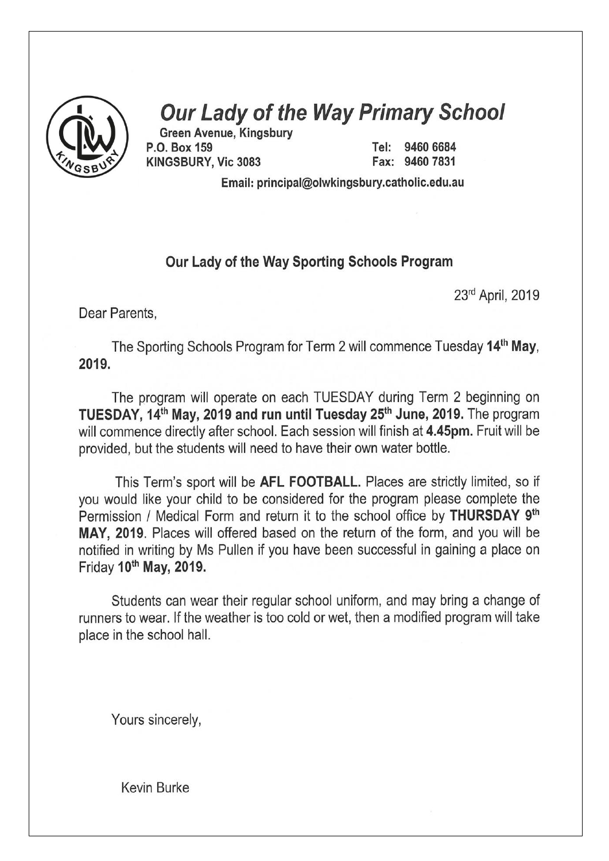

# **Our Lady of the Way Primary School**

**Green Avenue, Kingsbury** P.O. Box 159 KINGSBURY, Vic 3083

9460 6684 Tel: Fax: 9460 7831

Email: principal@olwkingsbury.catholic.edu.au

#### Our Lady of the Way Sporting Schools Program

23rd April, 2019

Dear Parents,

The Sporting Schools Program for Term 2 will commence Tuesday 14<sup>th</sup> May. 2019.

The program will operate on each TUESDAY during Term 2 beginning on TUESDAY, 14<sup>th</sup> May, 2019 and run until Tuesday 25<sup>th</sup> June, 2019. The program will commence directly after school. Each session will finish at 4.45pm. Fruit will be provided, but the students will need to have their own water bottle.

This Term's sport will be AFL FOOTBALL. Places are strictly limited, so if you would like your child to be considered for the program please complete the Permission / Medical Form and return it to the school office by **THURSDAY** 9<sup>th</sup> MAY, 2019. Places will offered based on the return of the form, and you will be notified in writing by Ms Pullen if you have been successful in gaining a place on Friday 10th May, 2019.

Students can wear their regular school uniform, and may bring a change of runners to wear. If the weather is too cold or wet, then a modified program will take place in the school hall.

Yours sincerely,

**Kevin Burke**